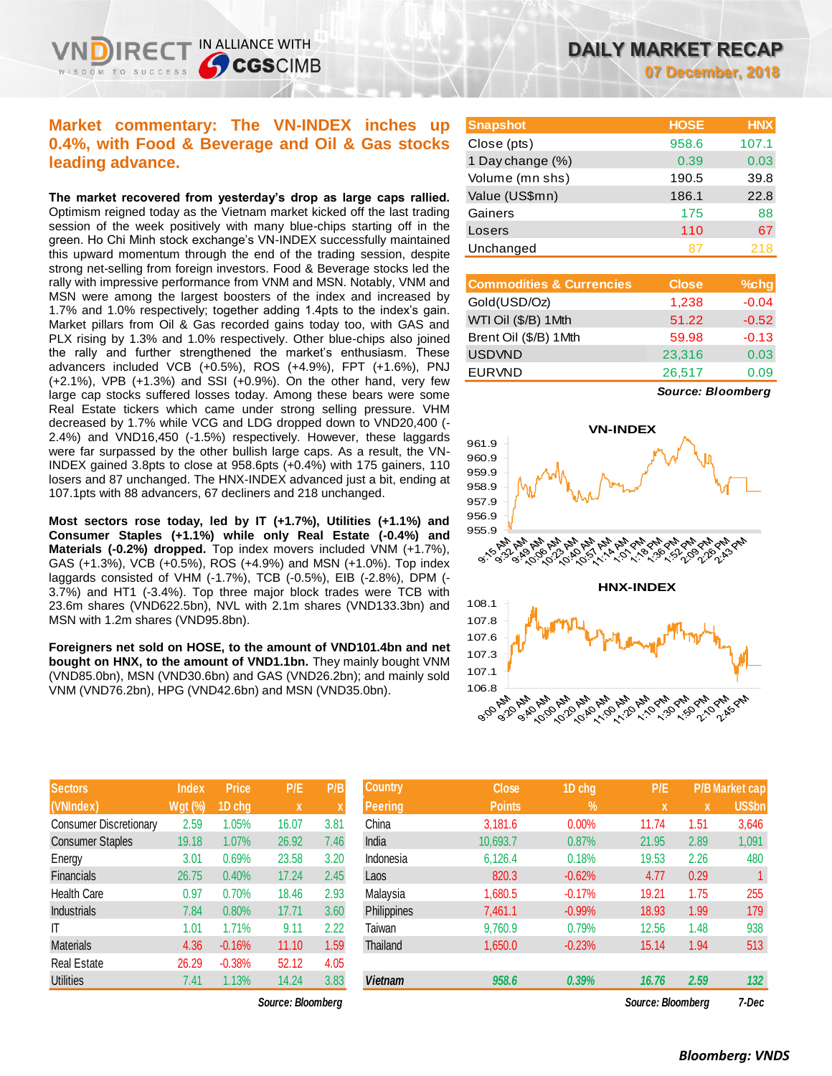## **Market commentary: The VN-INDEX inches up 0.4%, with Food & Beverage and Oil & Gas stocks leading advance.**

IN ALLIANCE WITH

**CGSCIMB** 

**The market recovered from yesterday's drop as large caps rallied.**  Optimism reigned today as the Vietnam market kicked off the last trading session of the week positively with many blue-chips starting off in the green. Ho Chi Minh stock exchange's VN-INDEX successfully maintained this upward momentum through the end of the trading session, despite strong net-selling from foreign investors. Food & Beverage stocks led the rally with impressive performance from VNM and MSN. Notably, VNM and MSN were among the largest boosters of the index and increased by 1.7% and 1.0% respectively; together adding 1.4pts to the index's gain. Market pillars from Oil & Gas recorded gains today too, with GAS and PLX rising by 1.3% and 1.0% respectively. Other blue-chips also joined the rally and further strengthened the market's enthusiasm. These advancers included VCB (+0.5%), ROS (+4.9%), FPT (+1.6%), PNJ (+2.1%), VPB (+1.3%) and SSI (+0.9%). On the other hand, very few large cap stocks suffered losses today. Among these bears were some Real Estate tickers which came under strong selling pressure. VHM decreased by 1.7% while VCG and LDG dropped down to VND20,400 (- 2.4%) and VND16,450 (-1.5%) respectively. However, these laggards were far surpassed by the other bullish large caps. As a result, the VN-INDEX gained 3.8pts to close at 958.6pts (+0.4%) with 175 gainers, 110 losers and 87 unchanged. The HNX-INDEX advanced just a bit, ending at 107.1pts with 88 advancers, 67 decliners and 218 unchanged.

**Most sectors rose today, led by IT (+1.7%), Utilities (+1.1%) and Consumer Staples (+1.1%) while only Real Estate (-0.4%) and Materials (-0.2%) dropped.** Top index movers included VNM (+1.7%), GAS (+1.3%), VCB (+0.5%), ROS (+4.9%) and MSN (+1.0%). Top index laggards consisted of VHM (-1.7%), TCB (-0.5%), EIB (-2.8%), DPM (- 3.7%) and HT1 (-3.4%). Top three major block trades were TCB with 23.6m shares (VND622.5bn), NVL with 2.1m shares (VND133.3bn) and MSN with 1.2m shares (VND95.8bn).

**Foreigners net sold on HOSE, to the amount of VND101.4bn and net bought on HNX, to the amount of VND1.1bn.** They mainly bought VNM (VND85.0bn), MSN (VND30.6bn) and GAS (VND26.2bn); and mainly sold VNM (VND76.2bn), HPG (VND42.6bn) and MSN (VND35.0bn).

| <b>Sectors</b>                | <b>Index</b>   | <b>Price</b> | P/E   | P/B  |
|-------------------------------|----------------|--------------|-------|------|
| (VNIndex)                     | <b>Wgt (%)</b> | 1D chg       | X     | X    |
| <b>Consumer Discretionary</b> | 2.59           | 1.05%        | 16.07 | 3.81 |
| <b>Consumer Staples</b>       | 19.18          | 1.07%        | 26.92 | 7.46 |
| Energy                        | 3.01           | 0.69%        | 23.58 | 3.20 |
| <b>Financials</b>             | 26.75          | 0.40%        | 17.24 | 2.45 |
| <b>Health Care</b>            | 0.97           | 0.70%        | 18.46 | 2.93 |
| <b>Industrials</b>            | 7.84           | 0.80%        | 17.71 | 3.60 |
| IT                            | 1.01           | 1.71%        | 9.11  | 2.22 |
| <b>Materials</b>              | 4.36           | $-0.16%$     | 11.10 | 1.59 |
| <b>Real Estate</b>            | 26.29          | $-0.38%$     | 52.12 | 4.05 |
| <b>Utilities</b>              | 7.41           | 1.13%        | 14.24 | 3.83 |

**Snapshot HOSE HNX** Close (pts) 958.6 107.1 1 Day change (%) 0.39 0.03 Volume (mn shs) 190.5 39.8 Value (US\$mn) 186.1 22.8 Gainers 88 Losers 110 67 Unchanged 87 218

| <b>Close</b> | %chg    |
|--------------|---------|
| 1,238        | $-0.04$ |
| 51.22        | $-0.52$ |
| 59.98        | $-0.13$ |
| 23,316       | 0.03    |
| 26,517       | 0.09    |
|              |         |

*Source: Bloomberg*



| <b>Sectors</b>         | <b>Index</b> | <b>Price</b> | P/E               | P/B  | <b>Country</b> | <b>Close</b>  | 1D chg   | P/E               |      | <b>P/B Market cap</b> |
|------------------------|--------------|--------------|-------------------|------|----------------|---------------|----------|-------------------|------|-----------------------|
| (VNIndex)              | Wgt (%)      | 1D chg       | $\mathbf{x}$      |      | <b>Peering</b> | <b>Points</b> | $\%$     | $\mathbf{x}$      | X    | <b>US\$bn</b>         |
| Consumer Discretionary | 2.59         | 1.05%        | 16.07             | 3.81 | China          | 3,181.6       | 0.00%    | 11.74             | 1.51 | 3,646                 |
| Consumer Staples       | 19.18        | 1.07%        | 26.92             | 7.46 | India          | 10,693.7      | 0.87%    | 21.95             | 2.89 | 1,091                 |
| Energy                 | 3.01         | 0.69%        | 23.58             | 3.20 | Indonesia      | 6,126.4       | 0.18%    | 19.53             | 2.26 | 480                   |
| <b>Financials</b>      | 26.75        | 0.40%        | 17.24             | 2.45 | Laos           | 820.3         | $-0.62%$ | 4.77              | 0.29 |                       |
| Health Care            | 0.97         | 0.70%        | 18.46             | 2.93 | Malaysia       | 1,680.5       | $-0.17%$ | 19.21             | 1.75 | 255                   |
| <b>Industrials</b>     | 7.84         | 0.80%        | 17.71             | 3.60 | Philippines    | 7,461.1       | $-0.99%$ | 18.93             | 1.99 | 179                   |
|                        | 1.01         | 1.71%        | 9.11              | 2.22 | Taiwan         | 9,760.9       | 0.79%    | 12.56             | 1.48 | 938                   |
| Materials              | 4.36         | $-0.16%$     | 11.10             | 1.59 | Thailand       | 1,650.0       | $-0.23%$ | 15.14             | 1.94 | 513                   |
| Real Estate            | 26.29        | $-0.38%$     | 52.12             | 4.05 |                |               |          |                   |      |                       |
| Utilities              | 7.41         | 1.13%        | 14.24             | 3.83 | <b>Vietnam</b> | 958.6         | 0.39%    | 16.76             | 2.59 | 132                   |
|                        |              |              | Source: Bloomberg |      |                |               |          | Source: Bloomberg |      | 7-Dec                 |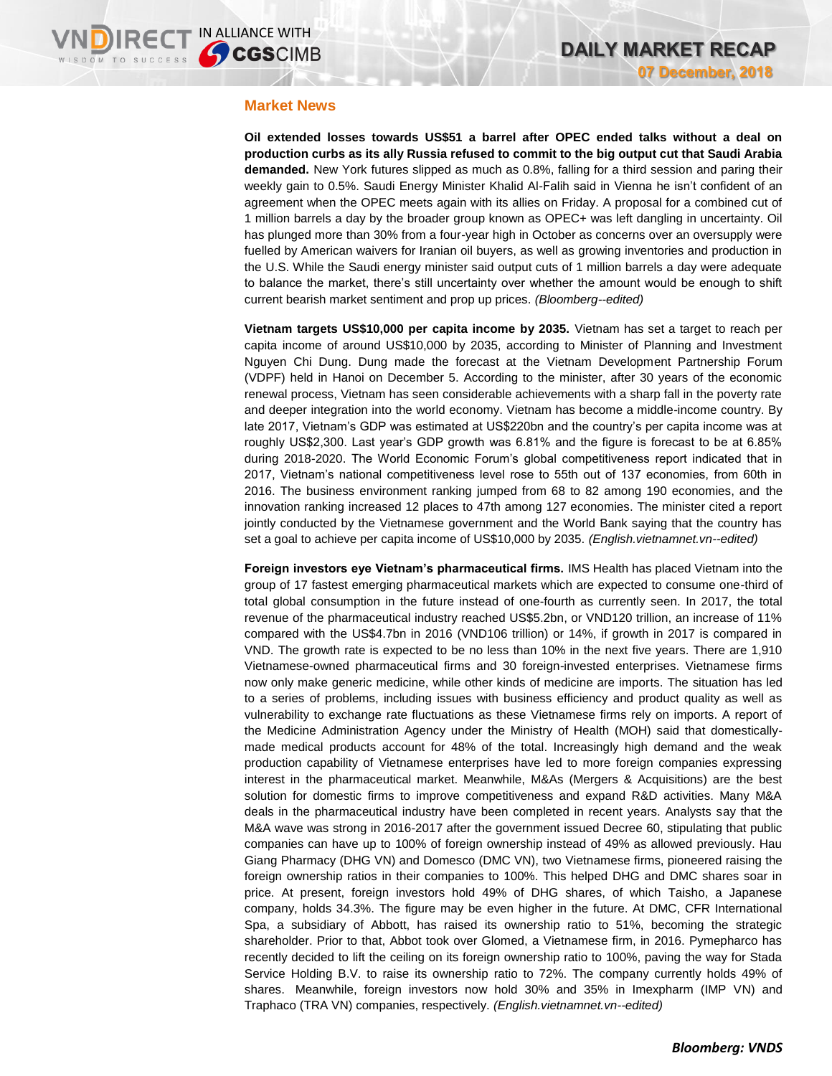## **Market News**

**Oil extended losses towards US\$51 a barrel after OPEC ended talks without a deal on production curbs as its ally Russia refused to commit to the big output cut that Saudi Arabia demanded.** New York futures slipped as much as 0.8%, falling for a third session and paring their weekly gain to 0.5%. Saudi Energy Minister Khalid Al-Falih said in Vienna he isn't confident of an agreement when the OPEC meets again with its allies on Friday. A proposal for a combined cut of 1 million barrels a day by the broader group known as OPEC+ was left dangling in uncertainty. Oil has plunged more than 30% from a four-year high in October as concerns over an oversupply were fuelled by American waivers for Iranian oil buyers, as well as growing inventories and production in the U.S. While the Saudi energy minister said output cuts of 1 million barrels a day were adequate to balance the market, there's still uncertainty over whether the amount would be enough to shift current bearish market sentiment and prop up prices. *(Bloomberg--edited)*

**Vietnam targets US\$10,000 per capita income by 2035.** Vietnam has set a target to reach per capita income of around US\$10,000 by 2035, according to Minister of Planning and Investment Nguyen Chi Dung. Dung made the forecast at the Vietnam Development Partnership Forum (VDPF) held in Hanoi on December 5. According to the minister, after 30 years of the economic renewal process, Vietnam has seen considerable achievements with a sharp fall in the poverty rate and deeper integration into the world economy. Vietnam has become a middle-income country. By late 2017, Vietnam's GDP was estimated at US\$220bn and the country's per capita income was at roughly US\$2,300. Last year's GDP growth was 6.81% and the figure is forecast to be at 6.85% during 2018-2020. The World Economic Forum's global competitiveness report indicated that in 2017, Vietnam's national competitiveness level rose to 55th out of 137 economies, from 60th in 2016. The business environment ranking jumped from 68 to 82 among 190 economies, and the innovation ranking increased 12 places to 47th among 127 economies. The minister cited a report jointly conducted by the Vietnamese government and the World Bank saying that the country has set a goal to achieve per capita income of US\$10,000 by 2035. *(English.vietnamnet.vn--edited)*

**Foreign investors eye Vietnam's pharmaceutical firms.** IMS Health has placed Vietnam into the group of 17 fastest emerging pharmaceutical markets which are expected to consume one-third of total global consumption in the future instead of one-fourth as currently seen. In 2017, the total revenue of the pharmaceutical industry reached US\$5.2bn, or VND120 trillion, an increase of 11% compared with the US\$4.7bn in 2016 (VND106 trillion) or 14%, if growth in 2017 is compared in VND. The growth rate is expected to be no less than 10% in the next five years. There are 1,910 Vietnamese-owned pharmaceutical firms and 30 foreign-invested enterprises. Vietnamese firms now only make generic medicine, while other kinds of medicine are imports. The situation has led to a series of problems, including issues with business efficiency and product quality as well as vulnerability to exchange rate fluctuations as these Vietnamese firms rely on imports. A report of the Medicine Administration Agency under the Ministry of Health (MOH) said that domesticallymade medical products account for 48% of the total. Increasingly high demand and the weak production capability of Vietnamese enterprises have led to more foreign companies expressing interest in the pharmaceutical market. Meanwhile, M&As (Mergers & Acquisitions) are the best solution for domestic firms to improve competitiveness and expand R&D activities. Many M&A deals in the pharmaceutical industry have been completed in recent years. Analysts say that the M&A wave was strong in 2016-2017 after the government issued Decree 60, stipulating that public companies can have up to 100% of foreign ownership instead of 49% as allowed previously. Hau Giang Pharmacy (DHG VN) and Domesco (DMC VN), two Vietnamese firms, pioneered raising the foreign ownership ratios in their companies to 100%. This helped DHG and DMC shares soar in price. At present, foreign investors hold 49% of DHG shares, of which Taisho, a Japanese company, holds 34.3%. The figure may be even higher in the future. At DMC, CFR International Spa, a subsidiary of Abbott, has raised its ownership ratio to 51%, becoming the strategic shareholder. Prior to that, Abbot took over Glomed, a Vietnamese firm, in 2016. Pymepharco has recently decided to lift the ceiling on its foreign ownership ratio to 100%, paving the way for Stada Service Holding B.V. to raise its ownership ratio to 72%. The company currently holds 49% of shares. Meanwhile, foreign investors now hold 30% and 35% in Imexpharm (IMP VN) and Traphaco (TRA VN) companies, respectively. *(English.vietnamnet.vn--edited)*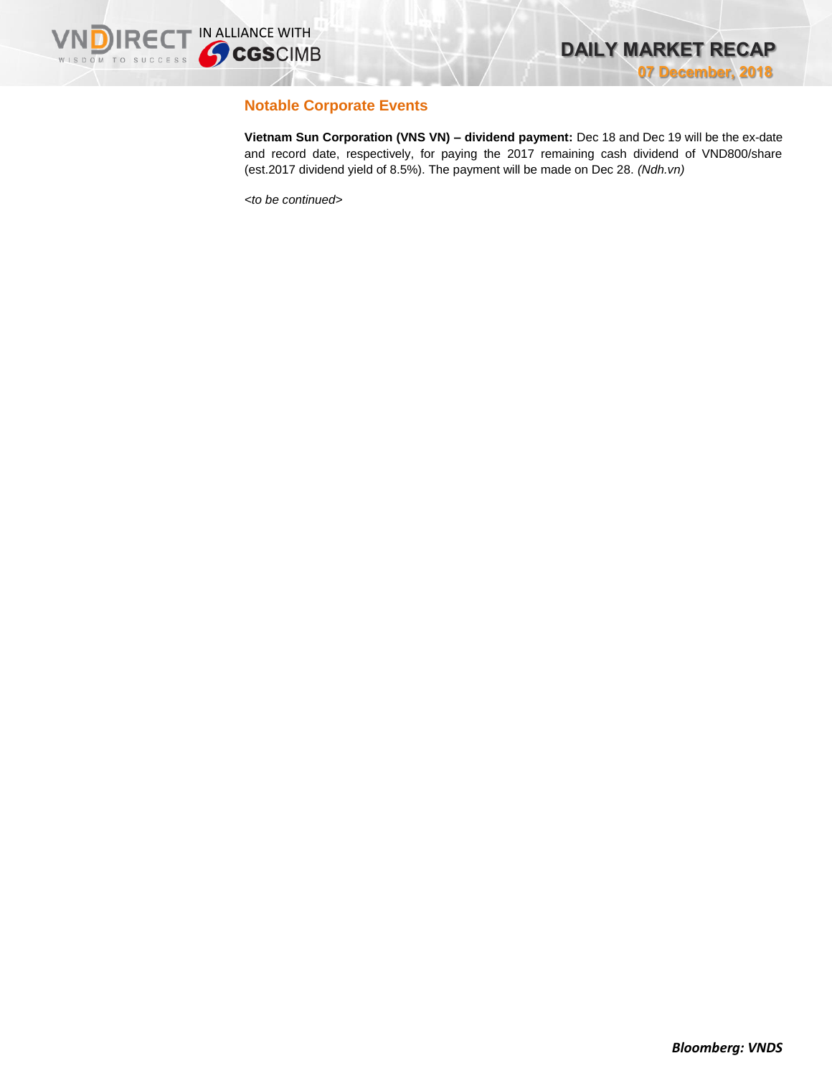

## **Notable Corporate Events**

**Vietnam Sun Corporation (VNS VN) – dividend payment:** Dec 18 and Dec 19 will be the ex-date and record date, respectively, for paying the 2017 remaining cash dividend of VND800/share (est.2017 dividend yield of 8.5%). The payment will be made on Dec 28. *(Ndh.vn)*

*<to be continued>*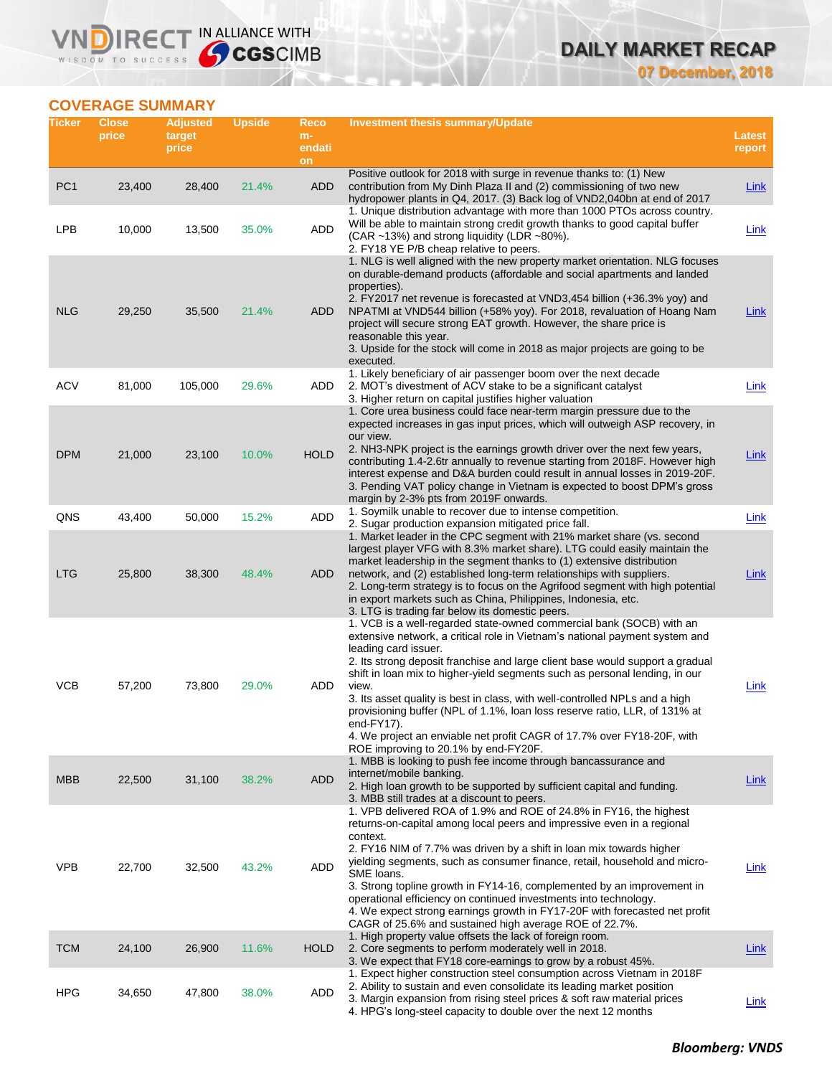# **DAILY MARKET RECAP**

**07 December, 2018**

## **COVERAGE SUMMARY**

WISDOM TO SUCCESS

**VNDIRECT IN ALLIANCE WITH** 

| Ticker          | <b>Close</b><br>price | <b>Adjusted</b><br>target<br>price | <b>Upside</b> | Reco<br>$m-$<br>endati<br>on | Investment thesis summary/Update                                                                                                                                                                                                                                                                                                                                                                                                                                                                                                                                                                                                                  | Latest<br>report |
|-----------------|-----------------------|------------------------------------|---------------|------------------------------|---------------------------------------------------------------------------------------------------------------------------------------------------------------------------------------------------------------------------------------------------------------------------------------------------------------------------------------------------------------------------------------------------------------------------------------------------------------------------------------------------------------------------------------------------------------------------------------------------------------------------------------------------|------------------|
| PC <sub>1</sub> | 23,400                | 28,400                             | 21.4%         | <b>ADD</b>                   | Positive outlook for 2018 with surge in revenue thanks to: (1) New<br>contribution from My Dinh Plaza II and (2) commissioning of two new<br>hydropower plants in Q4, 2017. (3) Back log of VND2,040bn at end of 2017                                                                                                                                                                                                                                                                                                                                                                                                                             | Link             |
| <b>LPB</b>      | 10,000                | 13,500                             | 35.0%         | ADD                          | 1. Unique distribution advantage with more than 1000 PTOs across country.<br>Will be able to maintain strong credit growth thanks to good capital buffer<br>(CAR ~13%) and strong liquidity (LDR ~80%).<br>2. FY18 YE P/B cheap relative to peers.                                                                                                                                                                                                                                                                                                                                                                                                | Link             |
| <b>NLG</b>      | 29,250                | 35,500                             | 21.4%         | ADD                          | 1. NLG is well aligned with the new property market orientation. NLG focuses<br>on durable-demand products (affordable and social apartments and landed<br>properties).<br>2. FY2017 net revenue is forecasted at VND3,454 billion (+36.3% yoy) and<br>NPATMI at VND544 billion (+58% yoy). For 2018, revaluation of Hoang Nam<br>project will secure strong EAT growth. However, the share price is<br>reasonable this year.<br>3. Upside for the stock will come in 2018 as major projects are going to be<br>executed.                                                                                                                         | Link             |
| <b>ACV</b>      | 81,000                | 105,000                            | 29.6%         | ADD                          | 1. Likely beneficiary of air passenger boom over the next decade<br>2. MOT's divestment of ACV stake to be a significant catalyst<br>3. Higher return on capital justifies higher valuation                                                                                                                                                                                                                                                                                                                                                                                                                                                       | Link             |
| <b>DPM</b>      | 21,000                | 23,100                             | 10.0%         | <b>HOLD</b>                  | 1. Core urea business could face near-term margin pressure due to the<br>expected increases in gas input prices, which will outweigh ASP recovery, in<br>our view.<br>2. NH3-NPK project is the earnings growth driver over the next few years,<br>contributing 1.4-2.6tr annually to revenue starting from 2018F. However high<br>interest expense and D&A burden could result in annual losses in 2019-20F.<br>3. Pending VAT policy change in Vietnam is expected to boost DPM's gross<br>margin by 2-3% pts from 2019F onwards.                                                                                                               | <b>Link</b>      |
| QNS             | 43,400                | 50,000                             | 15.2%         | ADD                          | 1. Soymilk unable to recover due to intense competition.<br>2. Sugar production expansion mitigated price fall.                                                                                                                                                                                                                                                                                                                                                                                                                                                                                                                                   | Link             |
| <b>LTG</b>      | 25,800                | 38,300                             | 48.4%         | ADD                          | 1. Market leader in the CPC segment with 21% market share (vs. second<br>largest player VFG with 8.3% market share). LTG could easily maintain the<br>market leadership in the segment thanks to (1) extensive distribution<br>network, and (2) established long-term relationships with suppliers.<br>2. Long-term strategy is to focus on the Agrifood segment with high potential<br>in export markets such as China, Philippines, Indonesia, etc.<br>3. LTG is trading far below its domestic peers.                                                                                                                                          | Link             |
| <b>VCB</b>      | 57,200                | 73,800                             | 29.0%         | ADD                          | 1. VCB is a well-regarded state-owned commercial bank (SOCB) with an<br>extensive network, a critical role in Vietnam's national payment system and<br>leading card issuer.<br>2. Its strong deposit franchise and large client base would support a gradual<br>shift in loan mix to higher-yield segments such as personal lending, in our<br>view.<br>3. Its asset quality is best in class, with well-controlled NPLs and a high<br>provisioning buffer (NPL of 1.1%, loan loss reserve ratio, LLR, of 131% at<br>end-FY17).<br>4. We project an enviable net profit CAGR of 17.7% over FY18-20F, with<br>ROE improving to 20.1% by end-FY20F. | Link             |
| <b>MBB</b>      | 22,500                | 31,100                             | 38.2%         | <b>ADD</b>                   | 1. MBB is looking to push fee income through bancassurance and<br>internet/mobile banking.<br>2. High loan growth to be supported by sufficient capital and funding.<br>3. MBB still trades at a discount to peers.                                                                                                                                                                                                                                                                                                                                                                                                                               | <b>Link</b>      |
| <b>VPB</b>      | 22,700                | 32,500                             | 43.2%         | ADD                          | 1. VPB delivered ROA of 1.9% and ROE of 24.8% in FY16, the highest<br>returns-on-capital among local peers and impressive even in a regional<br>context.<br>2. FY16 NIM of 7.7% was driven by a shift in loan mix towards higher<br>yielding segments, such as consumer finance, retail, household and micro-<br>SME loans.<br>3. Strong topline growth in FY14-16, complemented by an improvement in<br>operational efficiency on continued investments into technology.<br>4. We expect strong earnings growth in FY17-20F with forecasted net profit<br>CAGR of 25.6% and sustained high average ROE of 22.7%.                                 | Link             |
| <b>TCM</b>      | 24,100                | 26,900                             | 11.6%         | <b>HOLD</b>                  | 1. High property value offsets the lack of foreign room.<br>2. Core segments to perform moderately well in 2018.<br>3. We expect that FY18 core-earnings to grow by a robust 45%.                                                                                                                                                                                                                                                                                                                                                                                                                                                                 | <b>Link</b>      |
| <b>HPG</b>      | 34,650                | 47,800                             | 38.0%         | ADD                          | 1. Expect higher construction steel consumption across Vietnam in 2018 F<br>2. Ability to sustain and even consolidate its leading market position<br>3. Margin expansion from rising steel prices & soft raw material prices<br>4. HPG's long-steel capacity to double over the next 12 months                                                                                                                                                                                                                                                                                                                                                   | <b>Link</b>      |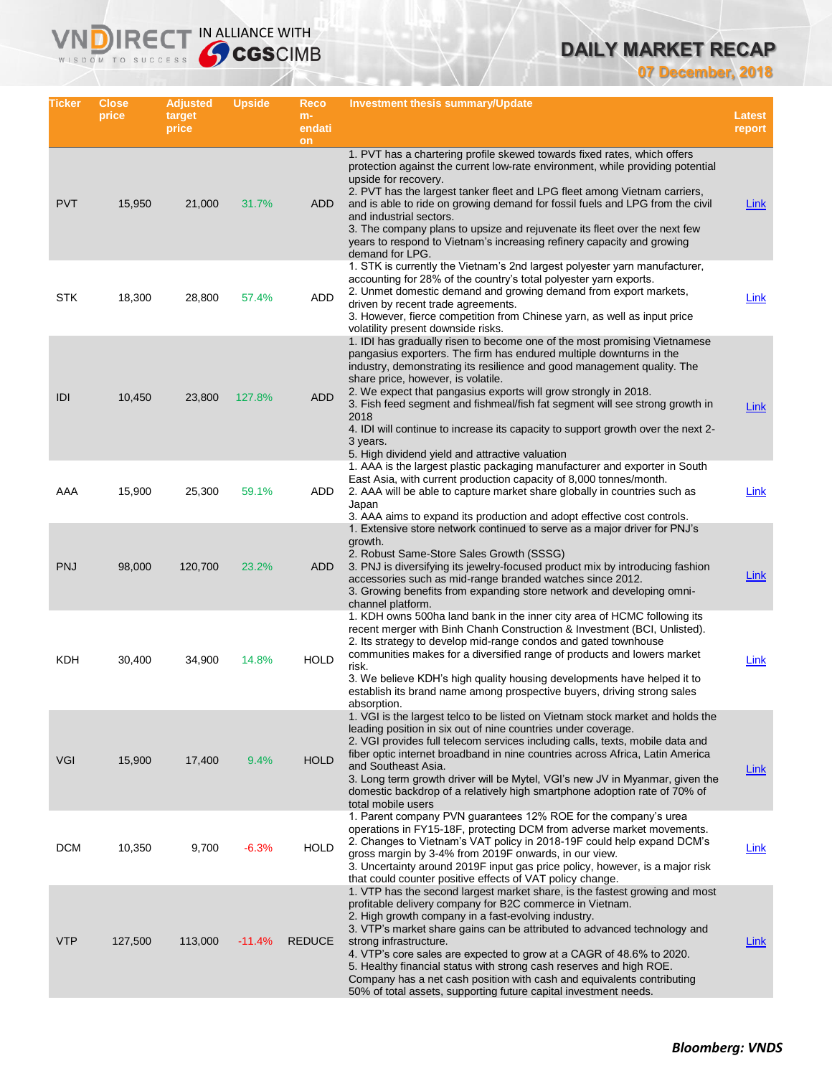## **DAILY MARKET RECAP**

**07 December, 2018**

| Ticker     | <b>Close</b><br>price | <b>Adjusted</b><br>target<br>price | <b>Upside</b> | Reco<br>$m-$<br>endati<br>on | Investment thesis summary/Update                                                                                                                                                                                                                                                                                                                                                                                                                                                                                                                                                                  | <b>Latest</b><br>report |
|------------|-----------------------|------------------------------------|---------------|------------------------------|---------------------------------------------------------------------------------------------------------------------------------------------------------------------------------------------------------------------------------------------------------------------------------------------------------------------------------------------------------------------------------------------------------------------------------------------------------------------------------------------------------------------------------------------------------------------------------------------------|-------------------------|
| <b>PVT</b> | 15,950                | 21,000                             | 31.7%         | ADD                          | 1. PVT has a chartering profile skewed towards fixed rates, which offers<br>protection against the current low-rate environment, while providing potential<br>upside for recovery.<br>2. PVT has the largest tanker fleet and LPG fleet among Vietnam carriers,<br>and is able to ride on growing demand for fossil fuels and LPG from the civil<br>and industrial sectors.<br>3. The company plans to upsize and rejuvenate its fleet over the next few<br>years to respond to Vietnam's increasing refinery capacity and growing<br>demand for LPG.                                             | Link                    |
| <b>STK</b> | 18,300                | 28,800                             | 57.4%         | ADD                          | 1. STK is currently the Vietnam's 2nd largest polyester yarn manufacturer,<br>accounting for 28% of the country's total polyester yarn exports.<br>2. Unmet domestic demand and growing demand from export markets,<br>driven by recent trade agreements.<br>3. However, fierce competition from Chinese yarn, as well as input price<br>volatility present downside risks.                                                                                                                                                                                                                       | Link                    |
| IDI        | 10,450                | 23,800                             | 127.8%        | <b>ADD</b>                   | 1. IDI has gradually risen to become one of the most promising Vietnamese<br>pangasius exporters. The firm has endured multiple downturns in the<br>industry, demonstrating its resilience and good management quality. The<br>share price, however, is volatile.<br>2. We expect that pangasius exports will grow strongly in 2018.<br>3. Fish feed segment and fishmeal/fish fat segment will see strong growth in<br>2018<br>4. IDI will continue to increase its capacity to support growth over the next 2-<br>3 years.<br>5. High dividend yield and attractive valuation                   | <b>Link</b>             |
| AAA        | 15,900                | 25,300                             | 59.1%         | ADD                          | 1. AAA is the largest plastic packaging manufacturer and exporter in South<br>East Asia, with current production capacity of 8,000 tonnes/month.<br>2. AAA will be able to capture market share globally in countries such as<br>Japan<br>3. AAA aims to expand its production and adopt effective cost controls.                                                                                                                                                                                                                                                                                 | Link                    |
| <b>PNJ</b> | 98,000                | 120,700                            | 23.2%         | ADD                          | 1. Extensive store network continued to serve as a major driver for PNJ's<br>growth.<br>2. Robust Same-Store Sales Growth (SSSG)<br>3. PNJ is diversifying its jewelry-focused product mix by introducing fashion<br>accessories such as mid-range branded watches since 2012.<br>3. Growing benefits from expanding store network and developing omni-<br>channel platform.                                                                                                                                                                                                                      | Link                    |
| KDH        | 30,400                | 34,900                             | 14.8%         | <b>HOLD</b>                  | 1. KDH owns 500ha land bank in the inner city area of HCMC following its<br>recent merger with Binh Chanh Construction & Investment (BCI, Unlisted).<br>2. Its strategy to develop mid-range condos and gated townhouse<br>communities makes for a diversified range of products and lowers market<br>risk.<br>3. We believe KDH's high quality housing developments have helped it to<br>establish its brand name among prospective buyers, driving strong sales<br>absorption.                                                                                                                  | Link                    |
| <b>VGI</b> | 15,900                | 17,400                             | 9.4%          | <b>HOLD</b>                  | 1. VGI is the largest telco to be listed on Vietnam stock market and holds the<br>leading position in six out of nine countries under coverage.<br>2. VGI provides full telecom services including calls, texts, mobile data and<br>fiber optic internet broadband in nine countries across Africa, Latin America<br>and Southeast Asia.<br>3. Long term growth driver will be Mytel, VGI's new JV in Myanmar, given the<br>domestic backdrop of a relatively high smartphone adoption rate of 70% of<br>total mobile users                                                                       | <b>Link</b>             |
| <b>DCM</b> | 10,350                | 9,700                              | $-6.3%$       | <b>HOLD</b>                  | 1. Parent company PVN guarantees 12% ROE for the company's urea<br>operations in FY15-18F, protecting DCM from adverse market movements.<br>2. Changes to Vietnam's VAT policy in 2018-19F could help expand DCM's<br>gross margin by 3-4% from 2019F onwards, in our view.<br>3. Uncertainty around 2019F input gas price policy, however, is a major risk<br>that could counter positive effects of VAT policy change.                                                                                                                                                                          | Link                    |
| <b>VTP</b> | 127,500               | 113,000                            | $-11.4%$      | <b>REDUCE</b>                | 1. VTP has the second largest market share, is the fastest growing and most<br>profitable delivery company for B2C commerce in Vietnam.<br>2. High growth company in a fast-evolving industry.<br>3. VTP's market share gains can be attributed to advanced technology and<br>strong infrastructure.<br>4. VTP's core sales are expected to grow at a CAGR of 48.6% to 2020.<br>5. Healthy financial status with strong cash reserves and high ROE.<br>Company has a net cash position with cash and equivalents contributing<br>50% of total assets, supporting future capital investment needs. | Link                    |

**VNDIRECT IN ALLIANCE WITH**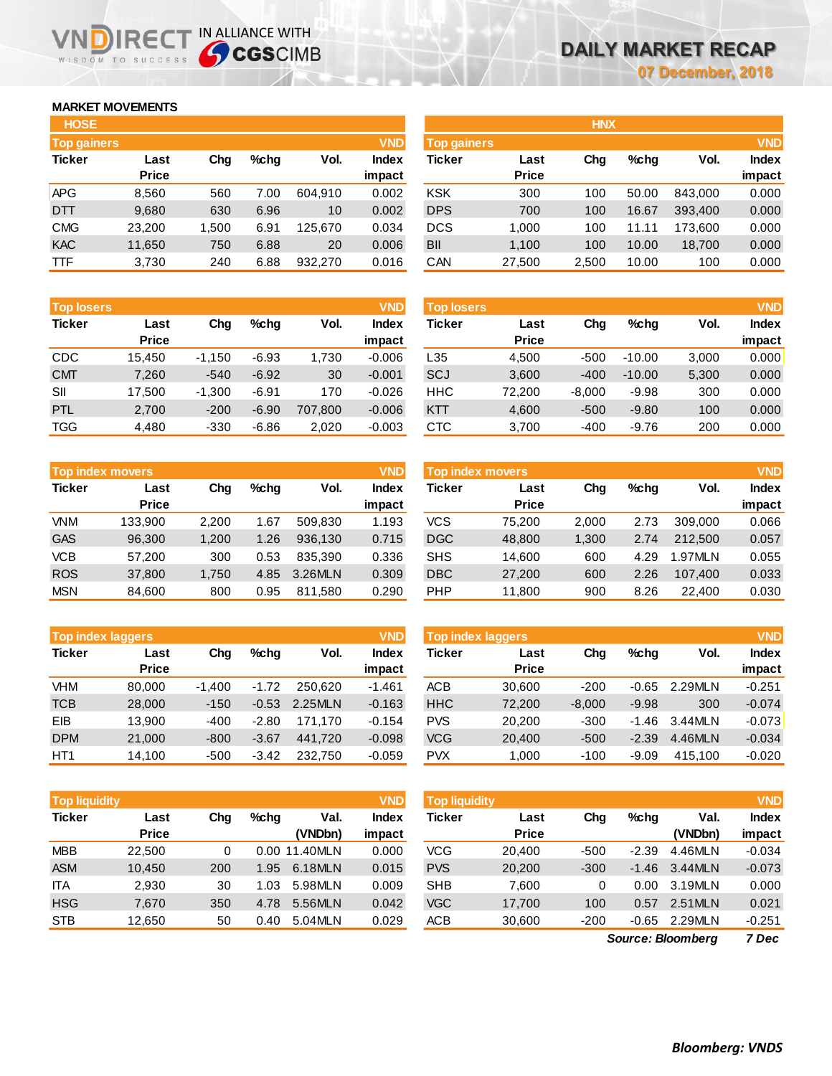## **MARKET MOVEMENTS**

WISDOM TO SUCCESS

| <b>HOSE</b>        |              |       |      |         |              |
|--------------------|--------------|-------|------|---------|--------------|
| <b>Top gainers</b> |              |       |      |         | <b>VND</b>   |
| <b>Ticker</b>      | Last         | Chq   | %chq | Vol.    | <b>Index</b> |
|                    | <b>Price</b> |       |      |         | impact       |
| <b>APG</b>         | 8,560        | 560   | 7.00 | 604,910 | 0.002        |
| <b>DTT</b>         | 9,680        | 630   | 6.96 | 10      | 0.002        |
| <b>CMG</b>         | 23,200       | 1,500 | 6.91 | 125.670 | 0.034        |
| <b>KAC</b>         | 11,650       | 750   | 6.88 | 20      | 0.006        |
| <b>TTF</b>         | 3,730        | 240   | 6.88 | 932,270 | 0.016        |

**VNDIRECT IN ALLIANCE WITH** 

| <b>Top losers</b> |              |          |         |         | <b>VND</b>   |
|-------------------|--------------|----------|---------|---------|--------------|
| <b>Ticker</b>     | Last         | Cha      | %chq    | Vol.    | <b>Index</b> |
|                   | <b>Price</b> |          |         |         | impact       |
| CDC               | 15,450       | $-1,150$ | $-6.93$ | 1,730   | $-0.006$     |
| <b>CMT</b>        | 7,260        | $-540$   | $-6.92$ | 30      | $-0.001$     |
| SII               | 17,500       | $-1,300$ | $-6.91$ | 170     | $-0.026$     |
| PTL               | 2,700        | $-200$   | $-6.90$ | 707,800 | $-0.006$     |
| <b>TGG</b>        | 4,480        | $-330$   | $-6.86$ | 2,020   | $-0.003$     |

|               | <b>Top index movers</b> |       |      |         | <b>VND</b>   |
|---------------|-------------------------|-------|------|---------|--------------|
| <b>Ticker</b> | Last                    | Cha   | %chq | Vol.    | <b>Index</b> |
|               | <b>Price</b>            |       |      |         | impact       |
| <b>VNM</b>    | 133,900                 | 2,200 | 1.67 | 509,830 | 1.193        |
| <b>GAS</b>    | 96,300                  | 1,200 | 1.26 | 936,130 | 0.715        |
| <b>VCB</b>    | 57,200                  | 300   | 0.53 | 835.390 | 0.336        |
| <b>ROS</b>    | 37,800                  | 1,750 | 4.85 | 3.26MLN | 0.309        |
| <b>MSN</b>    | 84,600                  | 800   | 0.95 | 811,580 | 0.290        |

| <b>Top index laggers</b> |              |          |         |         | <b>VND</b>   |
|--------------------------|--------------|----------|---------|---------|--------------|
| <b>Ticker</b>            | Last         | Chq      | %chq    | Vol.    | <b>Index</b> |
|                          | <b>Price</b> |          |         |         | impact       |
| VHM                      | 80,000       | $-1,400$ | $-1.72$ | 250.620 | $-1.461$     |
| <b>TCB</b>               | 28,000       | $-150$   | $-0.53$ | 2.25MLN | $-0.163$     |
| EIB                      | 13,900       | $-400$   | $-2.80$ | 171,170 | $-0.154$     |
| <b>DPM</b>               | 21,000       | $-800$   | $-3.67$ | 441,720 | $-0.098$     |
| HT <sub>1</sub>          | 14,100       | $-500$   | $-3.42$ | 232,750 | $-0.059$     |

| <b>VND</b><br><b>Top liquidity</b> |              |     |      |               |              |  |  |  |  |  |
|------------------------------------|--------------|-----|------|---------------|--------------|--|--|--|--|--|
| <b>Ticker</b>                      | Last         | Cha | %chq | Val.          | <b>Index</b> |  |  |  |  |  |
|                                    | <b>Price</b> |     |      | (VNDbn)       | impact       |  |  |  |  |  |
| <b>MBB</b>                         | 22,500       | 0   |      | 0.00 11.40MLN | 0.000        |  |  |  |  |  |
| <b>ASM</b>                         | 10,450       | 200 | 1.95 | 6.18MLN       | 0.015        |  |  |  |  |  |
| <b>ITA</b>                         | 2,930        | 30  | 1.03 | 5.98MLN       | 0.009        |  |  |  |  |  |
| <b>HSG</b>                         | 7,670        | 350 | 4.78 | 5.56MLN       | 0.042        |  |  |  |  |  |
| <b>STB</b>                         | 12,650       | 50  | 0.40 | 5.04MLN       | 0.029        |  |  |  |  |  |

| <b>HOSE</b>        |              |       |         |         |              |                    |              | <b>HNX</b> |         |         |              |
|--------------------|--------------|-------|---------|---------|--------------|--------------------|--------------|------------|---------|---------|--------------|
| <b>Top gainers</b> |              |       |         |         | <b>VND</b>   | <b>Top gainers</b> |              |            |         |         | <b>VND</b>   |
| Ticker             | Last         | Chg   | $%$ chq | Vol.    | <b>Index</b> | <b>Ticker</b>      | Last         | Chg        | $%$ chq | Vol.    | <b>Index</b> |
|                    | <b>Price</b> |       |         |         | impact       |                    | <b>Price</b> |            |         |         | impact       |
| APG                | 8,560        | 560   | 7.00    | 604.910 | 0.002        | <b>KSK</b>         | 300          | 100        | 50.00   | 843.000 | 0.000        |
| DTT                | 9,680        | 630   | 6.96    | 10      | 0.002        | <b>DPS</b>         | 700          | 100        | 16.67   | 393,400 | 0.000        |
| CMG                | 23.200       | 1.500 | 6.91    | 125.670 | 0.034        | <b>DCS</b>         | 1.000        | 100        | 11.11   | 173.600 | 0.000        |
| <b>KAC</b>         | 11,650       | 750   | 6.88    | 20      | 0.006        | <b>BII</b>         | 1,100        | 100        | 10.00   | 18,700  | 0.000        |
| TTF                | 3,730        | 240   | 6.88    | 932,270 | 0.016        | CAN                | 27,500       | 2,500      | 10.00   | 100     | 0.000        |
|                    |              |       |         |         |              |                    |              |            |         |         |              |

| <b>Top losers</b> | <b>VND</b>           |          |         |         |                        | <b>Top losers</b> |                      | <b>VND</b> |          |       |                        |
|-------------------|----------------------|----------|---------|---------|------------------------|-------------------|----------------------|------------|----------|-------|------------------------|
| <b>Ticker</b>     | Last<br><b>Price</b> | Chg      | %chq    | Vol.    | <b>Index</b><br>impact | Ticker            | Last<br><b>Price</b> | Chg        | $%$ chq  | Vol.  | <b>Index</b><br>impact |
| CDC               | 15.450               | $-1.150$ | $-6.93$ | 1,730   | $-0.006$               | ∟35               | 4.500                | $-500$     | $-10.00$ | 3,000 | 0.000                  |
| <b>CMT</b>        | 7,260                | $-540$   | $-6.92$ | 30      | $-0.001$               | SCJ               | 3,600                | $-400$     | $-10.00$ | 5,300 | 0.000                  |
| SII               | 17,500               | $-1.300$ | $-6.91$ | 170     | $-0.026$               | <b>HHC</b>        | 72.200               | $-8,000$   | $-9.98$  | 300   | 0.000                  |
| <b>PTL</b>        | 2,700                | $-200$   | $-6.90$ | 707,800 | $-0.006$               | <b>KTT</b>        | 4,600                | $-500$     | $-9.80$  | 100   | 0.000                  |
| TGG               | 4,480                | $-330$   | $-6.86$ | 2,020   | $-0.003$               | <b>CTC</b>        | 3,700                | $-400$     | $-9.76$  | 200   | 0.000                  |

|            | Top index movers |       |      |         | <b>VND</b> | Top index movers |              |       |         |         |              |
|------------|------------------|-------|------|---------|------------|------------------|--------------|-------|---------|---------|--------------|
| Ticker     | Last             | Chg   | %chq | Vol.    | Index      | Ticker           | Last         | Chg   | $%$ chq | Vol.    | <b>Index</b> |
|            | <b>Price</b>     |       |      |         | impact     |                  | <b>Price</b> |       |         |         | impact       |
| <b>VNM</b> | 133.900          | 2.200 | 1.67 | 509.830 | 1.193      | vcs              | 75.200       | 2.000 | 2.73    | 309.000 | 0.066        |
| <b>GAS</b> | 96,300           | 1,200 | 1.26 | 936.130 | 0.715      | <b>DGC</b>       | 48,800       | 1,300 | 2.74    | 212,500 | 0.057        |
| <b>VCB</b> | 57,200           | 300   | 0.53 | 835.390 | 0.336      | <b>SHS</b>       | 14.600       | 600   | 4.29    | 1.97MLN | 0.055        |
| <b>ROS</b> | 37,800           | 1.750 | 4.85 | 3.26MLN | 0.309      | <b>DBC</b>       | 27,200       | 600   | 2.26    | 107.400 | 0.033        |
| <b>MSN</b> | 84,600           | 800   | 0.95 | 811,580 | 0.290      | <b>PHP</b>       | 11,800       | 900   | 8.26    | 22,400  | 0.030        |

| <b>Top index laggers</b> |                      |          |         |         | <b>VND</b>      | <b>Top index laggers</b> |                      |          |         |         |                        |  |
|--------------------------|----------------------|----------|---------|---------|-----------------|--------------------------|----------------------|----------|---------|---------|------------------------|--|
| Ticker                   | Last<br><b>Price</b> | Chg      | $%$ chq | Vol.    | Index<br>impact | Ticker                   | Last<br><b>Price</b> | Chg      | $%$ chq | Vol.    | <b>Index</b><br>impact |  |
| VHM                      | 80.000               | $-1.400$ | $-1.72$ | 250.620 | $-1.461$        | ACB                      | 30.600               | $-200$   | $-0.65$ | 2.29MLN | $-0.251$               |  |
| TCB                      | 28,000               | $-150$   | $-0.53$ | 2.25MLN | $-0.163$        | <b>HHC</b>               | 72,200               | $-8,000$ | $-9.98$ | 300     | $-0.074$               |  |
| EIB                      | 13.900               | $-400$   | $-2.80$ | 171.170 | $-0.154$        | <b>PVS</b>               | 20,200               | $-300$   | $-1.46$ | 3.44MLN | $-0.073$               |  |
| <b>DPM</b>               | 21,000               | $-800$   | $-3.67$ | 441.720 | $-0.098$        | <b>VCG</b>               | 20,400               | $-500$   | $-2.39$ | 4.46MLN | $-0.034$               |  |
| HT1                      | 14.100               | $-500$   | $-3.42$ | 232.750 | $-0.059$        | <b>PVX</b>               | 1.000                | $-100$   | $-9.09$ | 415.100 | $-0.020$               |  |

| <b>Top liquidity</b> |              |     |      |               | <b>VND</b>   | <b>Top liquidity</b> |              |                          |               |         | <b>VND</b>   |
|----------------------|--------------|-----|------|---------------|--------------|----------------------|--------------|--------------------------|---------------|---------|--------------|
| Ticker               | Last         | Chg | %chq | Val.          | <b>Index</b> | Ticker               | Last         | Chg                      | $%$ chq       | Val.    | <b>Index</b> |
|                      | <b>Price</b> |     |      | (VNDbn)       | impact       |                      | <b>Price</b> |                          |               | (VNDbn) | impact       |
| <b>MBB</b>           | 22.500       | 0   |      | 0.00 11.40MLN | 0.000        | VCG                  | 20,400       | $-500$                   | $-2.39$       | 4.46MLN | $-0.034$     |
| <b>ASM</b>           | 10.450       | 200 | 1.95 | 6.18MLN       | 0.015        | <b>PVS</b>           | 20,200       | $-300$                   | $-1.46$       | 3.44MLN | $-0.073$     |
| <b>ITA</b>           | 2,930        | 30  | 1.03 | 5.98MLN       | 0.009        | <b>SHB</b>           | 7.600        | 0                        | 0.00          | 3.19MLN | 0.000        |
| HSG                  | 7,670        | 350 | 4.78 | 5.56MLN       | 0.042        | <b>VGC</b>           | 17,700       | 100                      | 0.57          | 2.51MLN | 0.021        |
| <b>STB</b>           | 12,650       | 50  | 0.40 | 5.04MLN       | 0.029        | ACB                  | 30,600       | $-200$                   | $-0.65$       | 2.29MLN | $-0.251$     |
|                      |              |     |      |               |              |                      |              | <b>Course: Pleamborn</b> | $7 \text{--}$ |         |              |

*7 Dec Source: Bloomberg*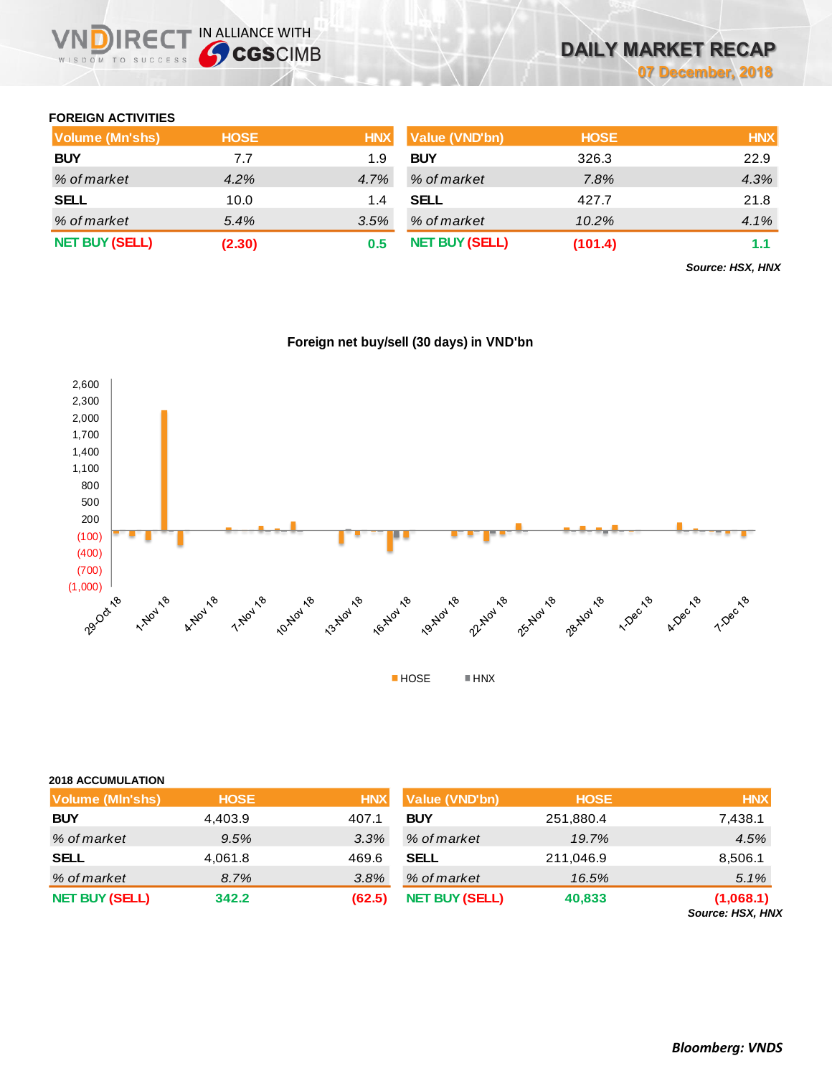## **FOREIGN ACTIVITIES**

| Volume (Mn'shs)       | <b>HOSE</b> | <b>HNX</b> | Value (VND'bn)        | <b>HOSE</b> | <b>HNX</b> |
|-----------------------|-------------|------------|-----------------------|-------------|------------|
| <b>BUY</b>            | 7.7         | 1.9        | <b>BUY</b>            | 326.3       | 22.9       |
| % of market           | 4.2%        | 4.7%       | % of market           | 7.8%        | 4.3%       |
| <b>SELL</b>           | 10.0        | 1.4        | <b>SELL</b>           | 427.7       | 21.8       |
| % of market           | 5.4%        | 3.5%       | % of market           | 10.2%       | 4.1%       |
| <b>NET BUY (SELL)</b> | (2.30)      | 0.5        | <b>NET BUY (SELL)</b> | (101.4)     | 1.1        |

*Source: HSX, HNX*



## **Foreign net buy/sell (30 days) in VND'bn**

### **2018 ACCUMULATION**

| Volume (MIn'shs)      | <b>HOSE</b> | <b>HNX</b> | <b>Value (VND'bn)</b> | <b>HOSE</b> | <b>HNX</b>                    |
|-----------------------|-------------|------------|-----------------------|-------------|-------------------------------|
| <b>BUY</b>            | 4,403.9     | 407.1      | <b>BUY</b>            | 251,880.4   | 7,438.1                       |
| % of market           | 9.5%        | 3.3%       | % of market           | 19.7%       | 4.5%                          |
| <b>SELL</b>           | 4,061.8     | 469.6      | <b>SELL</b>           | 211,046.9   | 8,506.1                       |
| % of market           | 8.7%        | 3.8%       | % of market           | 16.5%       | 5.1%                          |
| <b>NET BUY (SELL)</b> | 342.2       | (62.5)     | <b>NET BUY (SELL)</b> | 40,833      | (1,068.1)<br>Source: HSX, HNX |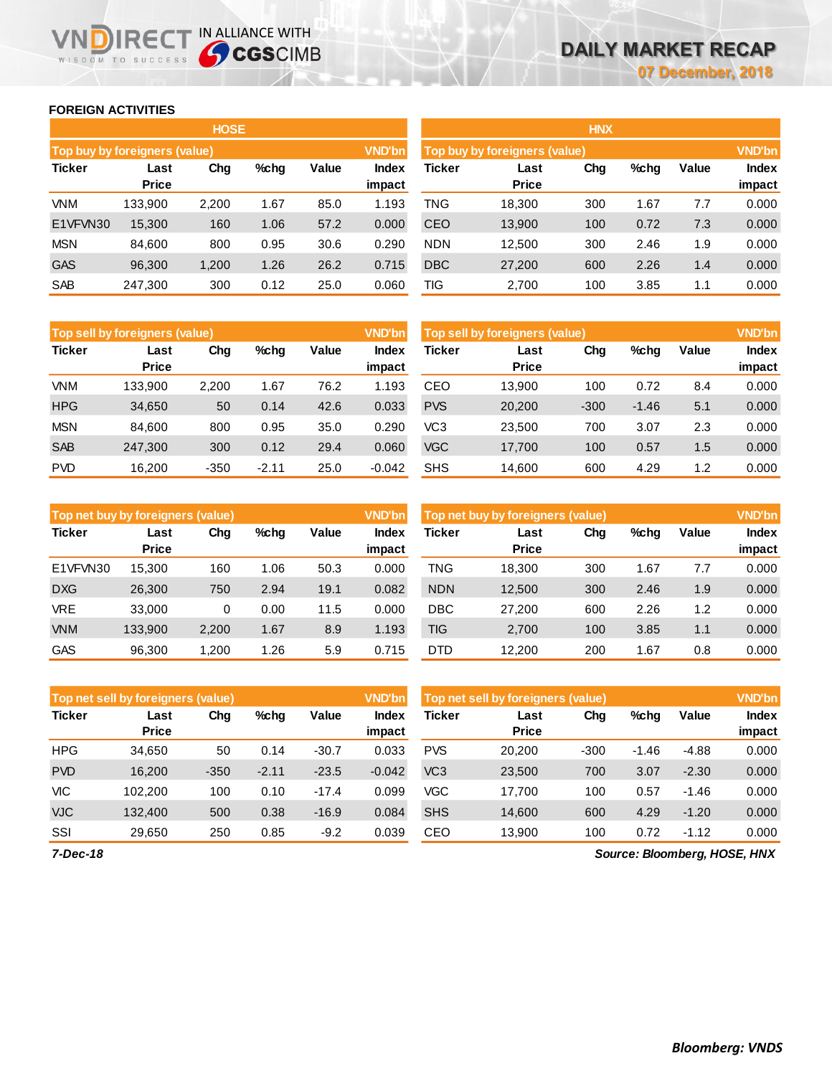## **FOREIGN ACTIVITIES**

WISDOM TO SUCCESS

n

**IRECT IN ALLIANCE WITH** 

|               |                               | <b>HOSE</b> |         |       |                        | <b>HNX</b>                    |                      |     |      |       |                        |  |
|---------------|-------------------------------|-------------|---------|-------|------------------------|-------------------------------|----------------------|-----|------|-------|------------------------|--|
|               | Top buy by foreigners (value) |             |         |       | <b>VND'bn</b>          | Top buy by foreigners (value) | <b>VND'bn</b>        |     |      |       |                        |  |
| <b>Ticker</b> | Last<br><b>Price</b>          | Chg         | $%$ chg | Value | <b>Index</b><br>impact | Ticker                        | Last<br><b>Price</b> | Chg | %chg | Value | <b>Index</b><br>impact |  |
| VNM           | 133,900                       | 2,200       | 1.67    | 85.0  | 1.193                  | TNG                           | 18,300               | 300 | 1.67 | 7.7   | 0.000                  |  |
| E1VFVN30      | 15,300                        | 160         | 1.06    | 57.2  | 0.000                  | CEO                           | 13,900               | 100 | 0.72 | 7.3   | 0.000                  |  |
| <b>MSN</b>    | 84.600                        | 800         | 0.95    | 30.6  | 0.290                  | <b>NDN</b>                    | 12,500               | 300 | 2.46 | 1.9   | 0.000                  |  |
| <b>GAS</b>    | 96,300                        | 1,200       | 1.26    | 26.2  | 0.715                  | <b>DBC</b>                    | 27,200               | 600 | 2.26 | 1.4   | 0.000                  |  |
| <b>SAB</b>    | 247,300                       | 300         | 0.12    | 25.0  | 0.060                  | TIG                           | 2,700                | 100 | 3.85 | 1.1   | 0.000                  |  |

|               | Top sell by foreigners (value) |        |         |       | <b>VND'bn</b>          | Top sell by foreigners (value), |                      |        |         |       |                        |
|---------------|--------------------------------|--------|---------|-------|------------------------|---------------------------------|----------------------|--------|---------|-------|------------------------|
| <b>Ticker</b> | Last<br><b>Price</b>           | Chg    | %chg    | Value | <b>Index</b><br>impact | Ticker                          | Last<br><b>Price</b> | Chg    | %chg    | Value | <b>Index</b><br>impact |
| VNM           | 133.900                        | 2.200  | 1.67    | 76.2  | 1.93.                  | CEO                             | 13.900               | 100    | 0.72    | 8.4   | 0.000                  |
| <b>HPG</b>    | 34,650                         | 50     | 0.14    | 42.6  | 0.033                  | <b>PVS</b>                      | 20,200               | $-300$ | $-1.46$ | 5.1   | 0.000                  |
| <b>MSN</b>    | 84.600                         | 800    | 0.95    | 35.0  | 0.290                  | VC3                             | 23.500               | 700    | 3.07    | 2.3   | 0.000                  |
| <b>SAB</b>    | 247.300                        | 300    | 0.12    | 29.4  | 0.060                  | <b>VGC</b>                      | 17,700               | 100    | 0.57    | 1.5   | 0.000                  |
| <b>PVD</b>    | 16.200                         | $-350$ | $-2.11$ | 25.0  | $-0.042$               | <b>SHS</b>                      | 14,600               | 600    | 4.29    | 1.2   | 0.000                  |

|               | Top net buy by foreigners (value) |       |         |       | <b>VND'bn</b>   | Top net buy by foreigners (value) | <b>VND'bn</b>        |     |      |       |                        |
|---------------|-----------------------------------|-------|---------|-------|-----------------|-----------------------------------|----------------------|-----|------|-------|------------------------|
| <b>Ticker</b> | Last<br><b>Price</b>              | Chg   | $%$ chg | Value | Index<br>impact | Ticker                            | Last<br><b>Price</b> | Chg | %chg | Value | <b>Index</b><br>impact |
| E1VFVN30      | 15.300                            | 160   | 1.06    | 50.3  | 0.000           | TNG                               | 18.300               | 300 | 1.67 | 7.7   | 0.000                  |
| <b>DXG</b>    | 26,300                            | 750   | 2.94    | 19.1  | 0.082           | <b>NDN</b>                        | 12,500               | 300 | 2.46 | 1.9   | 0.000                  |
| <b>VRE</b>    | 33,000                            | 0     | 0.00    | 11.5  | 0.000           | <b>DBC</b>                        | 27.200               | 600 | 2.26 | 1.2   | 0.000                  |
| <b>VNM</b>    | 133.900                           | 2,200 | 1.67    | 8.9   | 1.193           | TIG                               | 2.700                | 100 | 3.85 | 1.1   | 0.000                  |
| <b>GAS</b>    | 96.300                            | .200  | 1.26    | 5.9   | 0.715           | <b>DTD</b>                        | 12.200               | 200 | 1.67 | 0.8   | 0.000                  |

|               | Top net sell by foreigners (value) |        |         |         | <b>VND'bn</b>          | Top net sell by foreigners (value) |                      |        |         |         | <b>VND'bn</b>          |
|---------------|------------------------------------|--------|---------|---------|------------------------|------------------------------------|----------------------|--------|---------|---------|------------------------|
| <b>Ticker</b> | Last<br><b>Price</b>               | Chg    | $%$ chg | Value   | <b>Index</b><br>impact | Ticker                             | Last<br><b>Price</b> | Chg    | %chg    | Value   | <b>Index</b><br>impact |
| <b>HPG</b>    | 34,650                             | 50     | 0.14    | $-30.7$ | 0.033                  | <b>PVS</b>                         | 20,200               | $-300$ | $-1.46$ | $-4.88$ | 0.000                  |
| <b>PVD</b>    | 16.200                             | $-350$ | $-2.11$ | $-23.5$ | $-0.042$               | VC <sub>3</sub>                    | 23,500               | 700    | 3.07    | $-2.30$ | 0.000                  |
| <b>VIC</b>    | 102.200                            | 100    | 0.10    | $-17.4$ | 0.099                  | <b>VGC</b>                         | 17.700               | 100    | 0.57    | $-1.46$ | 0.000                  |
| <b>VJC</b>    | 132,400                            | 500    | 0.38    | $-16.9$ | 0.084                  | <b>SHS</b>                         | 14.600               | 600    | 4.29    | $-1.20$ | 0.000                  |
| SSI           | 29,650                             | 250    | 0.85    | $-9.2$  | 0.039                  | CEO                                | 13,900               | 100    | 0.72    | $-1.12$ | 0.000                  |

*7-Dec-18*

*Source: Bloomberg, HOSE, HNX*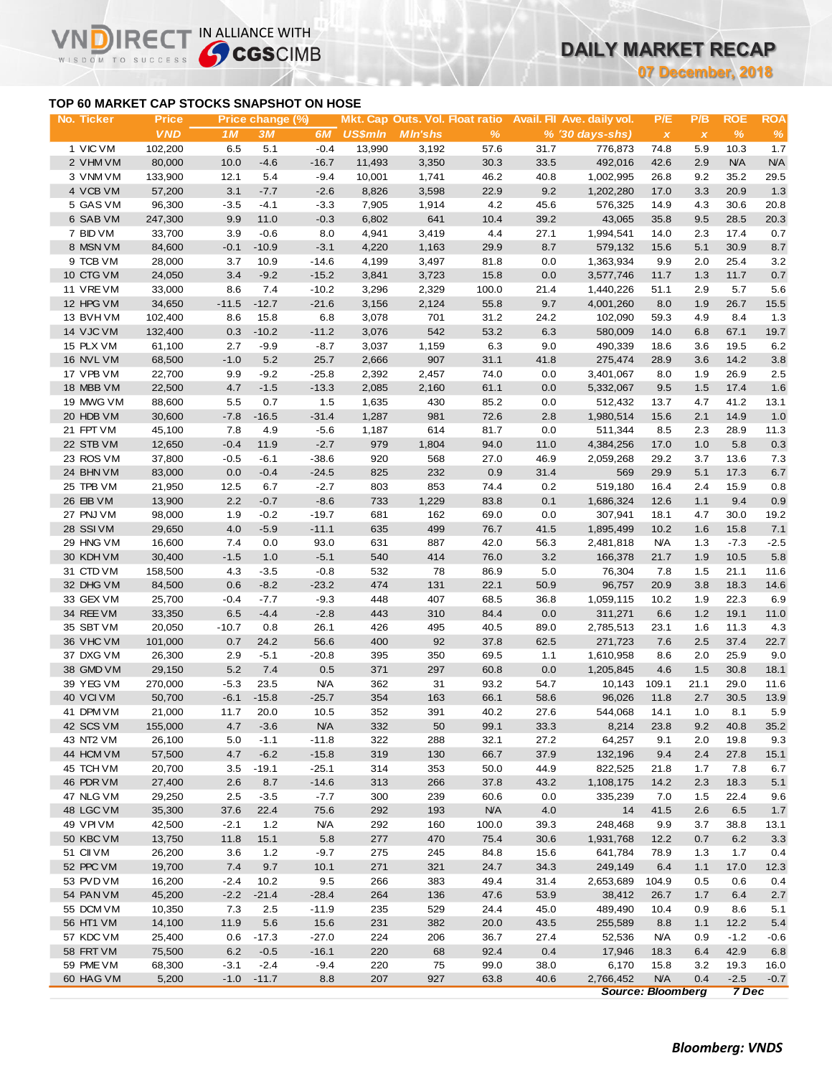## **TOP 60 MARKET CAP STOCKS SNAPSHOT ON HOSE**

**VNDIRECT IN ALLIANCE WITH** 

WISDOM TO SUCCESS

**07 December, 2018**

| No. Ticker | <b>Price</b> |         | Price change (%) |            |                |                 |            |      | Mkt. Cap Outs. Vol. Float ratio Avail. Fil Ave. daily vol. | P/E                       | P/B          | ROE           | <b>ROA</b> |
|------------|--------------|---------|------------------|------------|----------------|-----------------|------------|------|------------------------------------------------------------|---------------------------|--------------|---------------|------------|
|            | <b>VND</b>   | 1M      | 3M               | 6M         | <b>US\$mln</b> | <b>M</b> In'shs | %          |      | $% (30 \, \text{days-shs})$                                | $\boldsymbol{\mathsf{x}}$ | $\pmb{\chi}$ | $\frac{9}{6}$ | %          |
| 1 VIC VM   | 102,200      | 6.5     | 5.1              | $-0.4$     | 13,990         | 3,192           | 57.6       | 31.7 | 776,873                                                    | 74.8                      | 5.9          | 10.3          | 1.7        |
| 2 VHM VM   | 80,000       | 10.0    | $-4.6$           | $-16.7$    | 11,493         | 3,350           | 30.3       | 33.5 | 492,016                                                    | 42.6                      | 2.9          | <b>N/A</b>    | <b>N/A</b> |
| 3 VNM VM   | 133,900      | 12.1    | 5.4              | $-9.4$     | 10,001         | 1,741           | 46.2       | 40.8 | 1,002,995                                                  | 26.8                      | 9.2          | 35.2          | 29.5       |
| 4 VCB VM   | 57,200       | 3.1     | $-7.7$           | $-2.6$     | 8,826          | 3,598           | 22.9       | 9.2  | 1,202,280                                                  | 17.0                      | 3.3          | 20.9          | 1.3        |
| 5 GAS VM   | 96,300       | $-3.5$  | $-4.1$           | $-3.3$     | 7,905          | 1,914           | 4.2        | 45.6 | 576,325                                                    | 14.9                      | 4.3          | 30.6          | 20.8       |
| 6 SAB VM   | 247,300      | 9.9     | 11.0             | $-0.3$     | 6,802          | 641             | 10.4       | 39.2 | 43,065                                                     | 35.8                      | 9.5          | 28.5          | 20.3       |
| 7 BID VM   | 33,700       | 3.9     | $-0.6$           | 8.0        | 4,941          | 3,419           | 4.4        | 27.1 | 1,994,541                                                  | 14.0                      | 2.3          | 17.4          | 0.7        |
| 8 MSN VM   | 84,600       | $-0.1$  | $-10.9$          | $-3.1$     | 4,220          | 1,163           | 29.9       | 8.7  | 579,132                                                    | 15.6                      | 5.1          | 30.9          | 8.7        |
| 9 TCB VM   | 28,000       | 3.7     | 10.9             | $-14.6$    | 4,199          | 3,497           | 81.8       | 0.0  | 1,363,934                                                  | 9.9                       | 2.0          | 25.4          | $3.2\,$    |
| 10 CTG VM  | 24,050       | 3.4     | $-9.2$           | $-15.2$    | 3,841          | 3,723           | 15.8       | 0.0  | 3,577,746                                                  | 11.7                      | 1.3          | 11.7          | 0.7        |
| 11 VREVM   | 33,000       | 8.6     | 7.4              | $-10.2$    | 3,296          | 2,329           | 100.0      | 21.4 | 1,440,226                                                  | 51.1                      | 2.9          | 5.7           | 5.6        |
| 12 HPG VM  | 34,650       | $-11.5$ | $-12.7$          | $-21.6$    | 3,156          | 2,124           | 55.8       | 9.7  | 4,001,260                                                  | 8.0                       | 1.9          | 26.7          | 15.5       |
| 13 BVHVM   | 102,400      | 8.6     | 15.8             | 6.8        | 3,078          | 701             | 31.2       | 24.2 | 102,090                                                    | 59.3                      | 4.9          | 8.4           | 1.3        |
| 14 VJC VM  | 132,400      | 0.3     | $-10.2$          | $-11.2$    | 3,076          | 542             | 53.2       | 6.3  | 580,009                                                    | 14.0                      | 6.8          | 67.1          | 19.7       |
| 15 PLX VM  | 61,100       | 2.7     | $-9.9$           | $-8.7$     | 3,037          | 1,159           | 6.3        | 9.0  | 490,339                                                    | 18.6                      | 3.6          | 19.5          | 6.2        |
| 16 NVL VM  | 68,500       | $-1.0$  | 5.2              | 25.7       | 2,666          | 907             | 31.1       | 41.8 | 275,474                                                    | 28.9                      | 3.6          | 14.2          | 3.8        |
| 17 VPB VM  | 22,700       | 9.9     | $-9.2$           | $-25.8$    | 2,392          | 2,457           | 74.0       | 0.0  | 3,401,067                                                  | 8.0                       | 1.9          | 26.9          | $2.5\,$    |
| 18 MBB VM  | 22,500       | 4.7     | $-1.5$           | $-13.3$    | 2,085          | 2,160           | 61.1       | 0.0  | 5,332,067                                                  | 9.5                       | 1.5          | 17.4          | 1.6        |
|            | 88,600       | 5.5     | 0.7              | 1.5        | 1,635          |                 | 85.2       |      | 512,432                                                    |                           | 4.7          | 41.2          |            |
| 19 MWG VM  |              |         |                  |            |                | 430             |            | 0.0  |                                                            | 13.7                      |              |               | 13.1       |
| 20 HDB VM  | 30,600       | $-7.8$  | $-16.5$          | $-31.4$    | 1,287          | 981             | 72.6       | 2.8  | 1,980,514                                                  | 15.6                      | 2.1          | 14.9          | 1.0        |
| 21 FPT VM  | 45,100       | 7.8     | 4.9              | $-5.6$     | 1,187          | 614             | 81.7       | 0.0  | 511,344                                                    | 8.5                       | 2.3          | 28.9          | 11.3       |
| 22 STB VM  | 12,650       | $-0.4$  | 11.9             | $-2.7$     | 979            | 1,804           | 94.0       | 11.0 | 4,384,256                                                  | 17.0                      | 1.0          | 5.8           | 0.3        |
| 23 ROS VM  | 37,800       | $-0.5$  | $-6.1$           | $-38.6$    | 920            | 568             | 27.0       | 46.9 | 2,059,268                                                  | 29.2                      | 3.7          | 13.6          | 7.3        |
| 24 BHN VM  | 83,000       | 0.0     | $-0.4$           | $-24.5$    | 825            | 232             | 0.9        | 31.4 | 569                                                        | 29.9                      | 5.1          | 17.3          | $6.7\,$    |
| 25 TPB VM  | 21,950       | 12.5    | 6.7              | $-2.7$     | 803            | 853             | 74.4       | 0.2  | 519,180                                                    | 16.4                      | 2.4          | 15.9          | 0.8        |
| 26 EIB VM  | 13,900       | 2.2     | $-0.7$           | $-8.6$     | 733            | 1,229           | 83.8       | 0.1  | 1,686,324                                                  | 12.6                      | 1.1          | 9.4           | 0.9        |
| 27 PNJ VM  | 98,000       | 1.9     | $-0.2$           | $-19.7$    | 681            | 162             | 69.0       | 0.0  | 307,941                                                    | 18.1                      | 4.7          | 30.0          | 19.2       |
| 28 SSIVM   | 29,650       | 4.0     | $-5.9$           | $-11.1$    | 635            | 499             | 76.7       | 41.5 | 1,895,499                                                  | 10.2                      | 1.6          | 15.8          | 7.1        |
| 29 HNG VM  | 16,600       | 7.4     | 0.0              | 93.0       | 631            | 887             | 42.0       | 56.3 | 2,481,818                                                  | <b>N/A</b>                | 1.3          | $-7.3$        | $-2.5$     |
| 30 KDH VM  | 30,400       | $-1.5$  | 1.0              | $-5.1$     | 540            | 414             | 76.0       | 3.2  | 166,378                                                    | 21.7                      | 1.9          | 10.5          | 5.8        |
| 31 CTD VM  | 158,500      | 4.3     | $-3.5$           | $-0.8$     | 532            | 78              | 86.9       | 5.0  | 76,304                                                     | 7.8                       | 1.5          | 21.1          | 11.6       |
| 32 DHG VM  | 84,500       | 0.6     | $-8.2$           | $-23.2$    | 474            | 131             | 22.1       | 50.9 | 96,757                                                     | 20.9                      | 3.8          | 18.3          | 14.6       |
| 33 GEX VM  | 25,700       | $-0.4$  | $-7.7$           | $-9.3$     | 448            | 407             | 68.5       | 36.8 | 1,059,115                                                  | 10.2                      | 1.9          | 22.3          | 6.9        |
| 34 REE VM  | 33,350       | 6.5     | $-4.4$           | $-2.8$     | 443            | 310             | 84.4       | 0.0  | 311,271                                                    | 6.6                       | $1.2$        | 19.1          | 11.0       |
| 35 SBT VM  | 20,050       | $-10.7$ | 0.8              | 26.1       | 426            | 495             | 40.5       | 89.0 | 2,785,513                                                  | 23.1                      | 1.6          | 11.3          | 4.3        |
| 36 VHC VM  | 101,000      | 0.7     | 24.2             | 56.6       | 400            | 92              | 37.8       | 62.5 | 271,723                                                    | 7.6                       | 2.5          | 37.4          | 22.7       |
| 37 DXG VM  | 26,300       | 2.9     | $-5.1$           | $-20.8$    | 395            | 350             | 69.5       | 1.1  | 1,610,958                                                  | 8.6                       | 2.0          | 25.9          | 9.0        |
| 38 GMD VM  | 29,150       | $5.2$   | 7.4              | $0.5\,$    | 371            | 297             | 60.8       | 0.0  | 1,205,845                                                  | 4.6                       | 1.5          | 30.8          | 18.1       |
| 39 YEG VM  | 270,000      | $-5.3$  | 23.5             | <b>N/A</b> | 362            | 31              | 93.2       | 54.7 | 10,143                                                     | 109.1                     | 21.1         | 29.0          | 11.6       |
| 40 VCIVM   | 50,700       | $-6.1$  | $-15.8$          | $-25.7$    | 354            | 163             | 66.1       | 58.6 | 96,026                                                     | 11.8                      | 2.7          | 30.5          | 13.9       |
| 41 DPM VM  | 21,000       | 11.7    | 20.0             | 10.5       | 352            | 391             | 40.2       | 27.6 | 544,068                                                    | 14.1                      | 1.0          | 8.1           | 5.9        |
| 42 SCS VM  | 155,000      | 4.7     | $-3.6$           | N/A        | 332            | $50\,$          | 99.1       | 33.3 | 8,214                                                      | 23.8                      | 9.2          | 40.8          | 35.2       |
| 43 NT2 VM  | 26,100       | 5.0     | $-1.1$           | $-11.8$    | 322            | 288             | 32.1       | 27.2 | 64,257                                                     | 9.1                       | 2.0          | 19.8          | 9.3        |
| 44 HCM VM  | 57,500       | 4.7     | $-6.2$           | $-15.8$    | 319            | 130             | 66.7       | 37.9 | 132,196                                                    | 9.4                       | 2.4          | 27.8          | 15.1       |
| 45 TCH VM  | 20,700       | 3.5     | $-19.1$          | $-25.1$    | 314            | 353             | 50.0       | 44.9 | 822,525                                                    | 21.8                      | 1.7          | 7.8           | 6.7        |
| 46 PDR VM  | 27,400       | 2.6     | 8.7              | $-14.6$    | 313            | 266             | 37.8       | 43.2 | 1,108,175                                                  | 14.2                      | 2.3          | 18.3          | 5.1        |
| 47 NLG VM  | 29,250       | 2.5     | $-3.5$           | $-7.7$     | 300            | 239             | 60.6       | 0.0  | 335,239                                                    | 7.0                       | 1.5          | 22.4          | 9.6        |
| 48 LGC VM  | 35,300       | 37.6    | 22.4             | 75.6       | 292            | 193             | <b>N/A</b> | 4.0  | 14                                                         | 41.5                      | 2.6          | 6.5           | 1.7        |
| 49 VPI VM  | 42,500       | $-2.1$  | $1.2$            | <b>N/A</b> | 292            | 160             | 100.0      | 39.3 | 248,468                                                    | 9.9                       | 3.7          | 38.8          | 13.1       |
| 50 KBC VM  | 13,750       | 11.8    | 15.1             | 5.8        | 277            | 470             | 75.4       | 30.6 | 1,931,768                                                  | 12.2                      | 0.7          | 6.2           | 3.3        |
| 51 CII VM  | 26,200       | 3.6     | 1.2              | $-9.7$     | 275            | 245             | 84.8       | 15.6 | 641,784                                                    | 78.9                      | 1.3          | 1.7           | 0.4        |
| 52 PPC VM  | 19,700       | 7.4     | 9.7              | 10.1       | 271            | 321             | 24.7       | 34.3 | 249,149                                                    | 6.4                       | 1.1          | 17.0          | 12.3       |
| 53 PVD VM  | 16,200       | $-2.4$  | 10.2             | 9.5        | 266            | 383             | 49.4       | 31.4 | 2,653,689                                                  | 104.9                     | 0.5          | 0.6           | 0.4        |
| 54 PAN VM  | 45,200       | $-2.2$  | $-21.4$          | $-28.4$    | 264            | 136             | 47.6       | 53.9 | 38,412                                                     | 26.7                      | 1.7          | 6.4           |            |
|            |              |         | 2.5              | $-11.9$    | 235            | 529             | 24.4       | 45.0 | 489,490                                                    |                           | 0.9          | 8.6           | 2.7        |
| 55 DCM VM  | 10,350       | 7.3     |                  |            |                |                 |            |      |                                                            | 10.4                      |              |               | 5.1        |
| 56 HT1 VM  | 14,100       | 11.9    | 5.6              | 15.6       | 231            | 382             | 20.0       | 43.5 | 255,589                                                    | 8.8                       | 1.1          | 12.2          | 5.4        |
| 57 KDC VM  | 25,400       | 0.6     | $-17.3$          | $-27.0$    | 224            | 206             | 36.7       | 27.4 | 52,536                                                     | <b>N/A</b>                | 0.9          | $-1.2$        | $-0.6$     |
| 58 FRT VM  | 75,500       | 6.2     | $-0.5$           | $-16.1$    | 220            | 68              | 92.4       | 0.4  | 17,946                                                     | 18.3                      | 6.4          | 42.9          | 6.8        |
| 59 PME VM  | 68,300       | $-3.1$  | $-2.4$           | $-9.4$     | 220            | 75              | 99.0       | 38.0 | 6,170                                                      | 15.8                      | 3.2          | 19.3          | 16.0       |
| 60 HAG VM  | 5,200        |         | $-1.0 -11.7$     | 8.8        | 207            | 927             | 63.8       | 40.6 | 2,766,452<br><b>Source: Bloomberg</b>                      | <b>N/A</b>                | 0.4          | $-2.5$        | $-0.7$     |
|            |              |         |                  |            |                |                 |            |      |                                                            |                           |              | 7 Dec         |            |